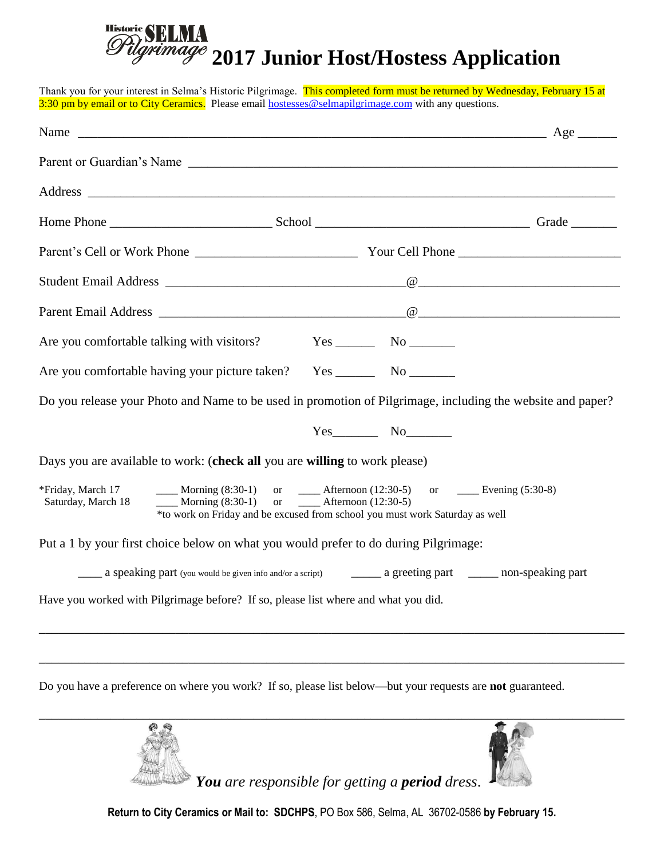## Historic **2017 Junior Host/Hostess Application**

Thank you for your interest in Selma's Historic Pilgrimage. This completed form must be returned by Wednesday, February 15 at 3:30 pm by email or to City Ceramics. Please email [hostesses@selmapilgrimage.com](mailto:hostesses@selmapilgrimage.com) with any questions. Name  $\qquad \qquad \qquad \qquad \qquad \qquad \qquad \qquad \text{Age} \qquad \qquad$ Parent or Guardian's Name \_\_\_\_\_\_\_\_\_\_\_\_\_\_\_\_\_\_\_\_\_\_\_\_\_\_\_\_\_\_\_\_\_\_\_\_\_\_\_\_\_\_\_\_\_\_\_\_\_\_\_\_\_\_\_\_\_\_\_\_\_\_\_\_\_\_ Address  $\overline{A}$ Home Phone \_\_\_\_\_\_\_\_\_\_\_\_\_\_\_\_\_\_\_\_\_\_\_\_\_ School \_\_\_\_\_\_\_\_\_\_\_\_\_\_\_\_\_\_\_\_\_\_\_\_\_\_\_\_\_\_\_\_\_ Grade \_\_\_\_\_\_\_ Parent's Cell or Work Phone \_\_\_\_\_\_\_\_\_\_\_\_\_\_\_\_\_\_\_\_\_\_\_\_\_ Your Cell Phone \_\_\_\_\_\_\_\_\_\_\_\_\_\_\_\_\_\_\_\_\_\_\_\_\_ Student Email Address  $\qquad \qquad \qquad \qquad \qquad \qquad \qquad \qquad$ Parent Email Address \_\_\_\_\_\_\_\_\_\_\_\_\_\_\_\_\_\_\_\_\_\_\_\_\_\_\_\_\_\_\_\_\_\_\_\_\_\_@\_\_\_\_\_\_\_\_\_\_\_\_\_\_\_\_\_\_\_\_\_\_\_\_\_\_\_\_\_\_\_ Are you comfortable talking with visitors? Yes No No Are you comfortable having your picture taken? Yes \_\_\_\_\_\_\_\_\_ No \_\_\_\_\_\_\_\_\_\_\_\_\_\_\_\_ Do you release your Photo and Name to be used in promotion of Pilgrimage, including the website and paper? Yes No Days you are available to work: (**check all** you are **willing** to work please) \*Friday, March 17 \_\_\_\_ Morning  $(8:30-1)$  or \_\_\_\_ Afternoon  $(12:30-5)$  or \_\_\_\_ Evening  $(5:30-8)$ Saturday, March 18  $\blacksquare$  Morning (8:30-1) or  $\blacksquare$  Afternoon (12:30-5) \*to work on Friday and be excused from school you must work Saturday as well Put a 1 by your first choice below on what you would prefer to do during Pilgrimage: \_\_\_\_ a speaking part (you would be given info and/or a script) \_\_\_\_\_ a greeting part \_\_\_\_\_ non-speaking part Have you worked with Pilgrimage before? If so, please list where and what you did. \_\_\_\_\_\_\_\_\_\_\_\_\_\_\_\_\_\_\_\_\_\_\_\_\_\_\_\_\_\_\_\_\_\_\_\_\_\_\_\_\_\_\_\_\_\_\_\_\_\_\_\_\_\_\_\_\_\_\_\_\_\_\_\_\_\_\_\_\_\_\_\_\_\_\_\_\_\_\_\_\_\_\_\_\_\_\_\_\_\_ \_\_\_\_\_\_\_\_\_\_\_\_\_\_\_\_\_\_\_\_\_\_\_\_\_\_\_\_\_\_\_\_\_\_\_\_\_\_\_\_\_\_\_\_\_\_\_\_\_\_\_\_\_\_\_\_\_\_\_\_\_\_\_\_\_\_\_\_\_\_\_\_\_\_\_\_\_\_\_\_\_\_\_\_\_\_\_\_\_\_

Do you have a preference on where you work? If so, please list below—but your requests are **not** guaranteed.





*You are responsible for getting a period dress*.

**Return to City Ceramics or Mail to: SDCHPS**, PO Box 586, Selma, AL 36702-0586 **by February 15.**